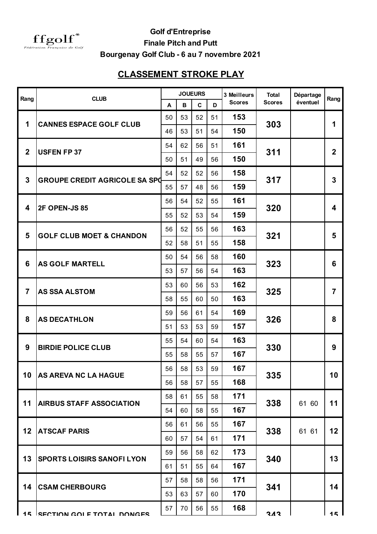

**Golf d'Entreprise**

**Finale Pitch and Putt**

**Bourgenay Golf Club - 6 au 7 novembre 2021**

## **CLASSEMENT STROKE PLAY**

| Rang                    | <b>CLUB</b>                          | <b>JOUEURS</b> |              |              |    | 3 Meilleurs   | <b>Total</b>  | Départage | Rang           |
|-------------------------|--------------------------------------|----------------|--------------|--------------|----|---------------|---------------|-----------|----------------|
|                         |                                      | A              | $\, {\bf B}$ | $\mathbf{C}$ | D  | <b>Scores</b> | <b>Scores</b> | éventuel  |                |
| 1                       | <b>CANNES ESPACE GOLF CLUB</b>       | 50             | 53           | 52           | 51 | 153           | 303           |           | 1              |
|                         |                                      | 46             | 53           | 51           | 54 | 150           |               |           |                |
| $\overline{2}$          | <b>USFEN FP 37</b>                   | 54             | 62           | 56           | 51 | 161           | 311           |           | $\overline{2}$ |
|                         |                                      | 50             | 51           | 49           | 56 | 150           |               |           |                |
| $\overline{3}$          | <b>GROUPE CREDIT AGRICOLE SA SPG</b> | 54             | 52           | 52           | 56 | 158           | 317           |           | 3              |
|                         |                                      | 55             | 57           | 48           | 56 | 159           |               |           |                |
| $\overline{\mathbf{4}}$ | 2F OPEN-JS 85                        | 56             | 54           | 52           | 55 | 161           | 320           |           | 4              |
|                         |                                      | 55             | 52           | 53           | 54 | 159           |               |           |                |
| 5                       | <b>GOLF CLUB MOET &amp; CHANDON</b>  | 56             | 52           | 55           | 56 | 163           | 321           |           | 5              |
|                         |                                      | 52             | 58           | 51           | 55 | 158           |               |           |                |
| 6                       | <b>AS GOLF MARTELL</b>               | 50             | 54           | 56           | 58 | 160           | 323           |           | 6              |
|                         |                                      | 53             | 57           | 56           | 54 | 163           |               |           |                |
| $\overline{7}$          | <b>AS SSA ALSTOM</b>                 | 53             | 60           | 56           | 53 | 162           | 325           |           | $\overline{7}$ |
|                         |                                      | 58             | 55           | 60           | 50 | 163           |               |           |                |
| 8                       | <b>AS DECATHLON</b>                  | 59             | 56           | 61           | 54 | 169           | 326           |           | 8              |
|                         |                                      | 51             | 53           | 53           | 59 | 157           |               |           |                |
| 9                       | <b>BIRDIE POLICE CLUB</b>            | 55             | 54           | 60           | 54 | 163           | 330           |           | 9              |
|                         |                                      | 55             | 58           | 55           | 57 | 167           |               |           |                |
|                         |                                      | 56             | 58           | 53           | 59 | 167           | 335           |           | 10             |
| 10                      | <b>AS AREVA NC LA HAGUE</b>          | 56             | 58           | 57           | 55 | 168           |               |           |                |
| 11                      | <b>AIRBUS STAFF ASSOCIATION</b>      | 58             | 61           | 55           | 58 | 171           | 338           | 61 60     | 11             |
|                         |                                      | 54             | 60           | 58           | 55 | 167           |               |           |                |
| 12                      | <b>ATSCAF PARIS</b>                  | 56             | 61           | 56           | 55 | 167           | 338           |           | 12             |
|                         |                                      | 60             | 57           | 54           | 61 | 171           |               | 61 61     |                |
| 13                      | <b>SPORTS LOISIRS SANOFI LYON</b>    | 59             | 56           | 58           | 62 | 173           | 340           |           |                |
|                         |                                      | 61             | 51           | 55           | 64 | 167           |               |           | 13             |
| 14                      | <b>CSAM CHERBOURG</b>                | 57             | 58           | 58           | 56 | 171           | 341           |           |                |
|                         |                                      | 53             | 63           | 57           | 60 | 170           |               |           | 14             |
|                         |                                      | 57             | 70           | 56           | 55 | 168           |               |           |                |
|                         | 15 ISECTION COLE TOTAL DONGES        |                |              |              |    |               | 313           |           | 15             |